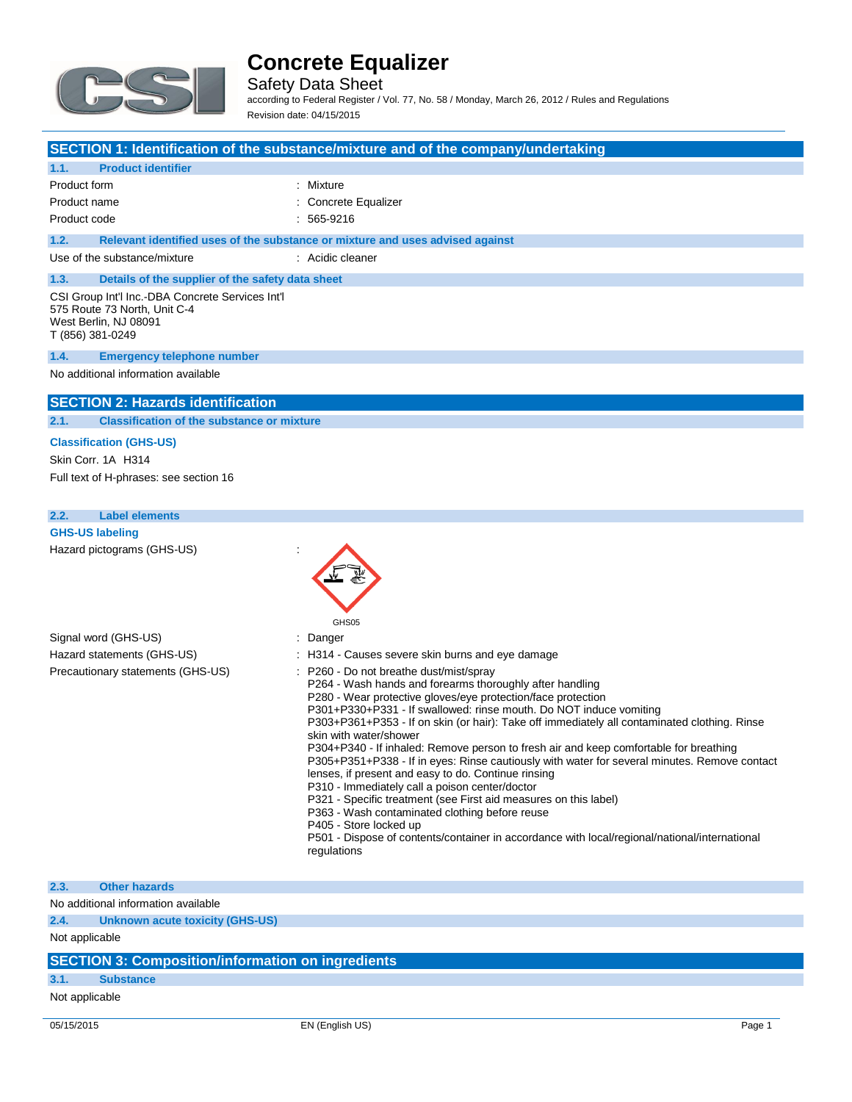

Safety Data Sheet according to Federal Register / Vol. 77, No. 58 / Monday, March 26, 2012 / Rules and Regulations Revision date: 04/15/2015

#### **SECTION 1: Identification of the substance/mixture and of the company/undertaking**

| 1.1.<br><b>Product identifier</b>                                                                                             |                                                                               |  |  |
|-------------------------------------------------------------------------------------------------------------------------------|-------------------------------------------------------------------------------|--|--|
| Product form                                                                                                                  | : Mixture                                                                     |  |  |
| Product name                                                                                                                  | : Concrete Equalizer                                                          |  |  |
| Product code                                                                                                                  | : 565-9216                                                                    |  |  |
| 1.2.                                                                                                                          | Relevant identified uses of the substance or mixture and uses advised against |  |  |
| Use of the substance/mixture                                                                                                  | : Acidic cleaner                                                              |  |  |
| 1.3.<br>Details of the supplier of the safety data sheet                                                                      |                                                                               |  |  |
| CSI Group Int'l Inc.-DBA Concrete Services Int'l<br>575 Route 73 North, Unit C-4<br>West Berlin, NJ 08091<br>T (856) 381-0249 |                                                                               |  |  |
| <b>Emergency telephone number</b><br>1.4.                                                                                     |                                                                               |  |  |
| No additional information available                                                                                           |                                                                               |  |  |

#### **SECTION 2: Hazards identification**

**2.1. Classification of the substance or mixture**

#### **Classification (GHS-US)**

Skin Corr. 1A H314 Full text of H-phrases: see section 16

### **2.2. Label elements GHS-US labeling** Hazard pictograms (GHS-US) : GHS05 Signal word (GHS-US) in the state of the Signal word (GHS-US) in the state of the Signal state of the Signal Signal Signal Signal Signal Signal Signal Signal Signal Signal Signal Signal Signal Signal Signal Signal Signal S Hazard statements (GHS-US) : H314 - Causes severe skin burns and eye damage Precautionary statements (GHS-US) : P260 - Do not breathe dust/mist/spray P264 - Wash hands and forearms thoroughly after handling P280 - Wear protective gloves/eye protection/face protection P301+P330+P331 - If swallowed: rinse mouth. Do NOT induce vomiting P303+P361+P353 - If on skin (or hair): Take off immediately all contaminated clothing. Rinse skin with water/shower P304+P340 - If inhaled: Remove person to fresh air and keep comfortable for breathing P305+P351+P338 - If in eyes: Rinse cautiously with water for several minutes. Remove contact lenses, if present and easy to do. Continue rinsing P310 - Immediately call a poison center/doctor P321 - Specific treatment (see First aid measures on this label) P363 - Wash contaminated clothing before reuse P405 - Store locked up P501 - Dispose of contents/container in accordance with local/regional/national/international regulations

#### **2.3. Other hazards**

No additional information available

**2.4. Unknown acute toxicity (GHS-US)**

Not applicable

### **SECTION 3: Composition/information on ingredients**

#### **3.1. Substance**

Not applicable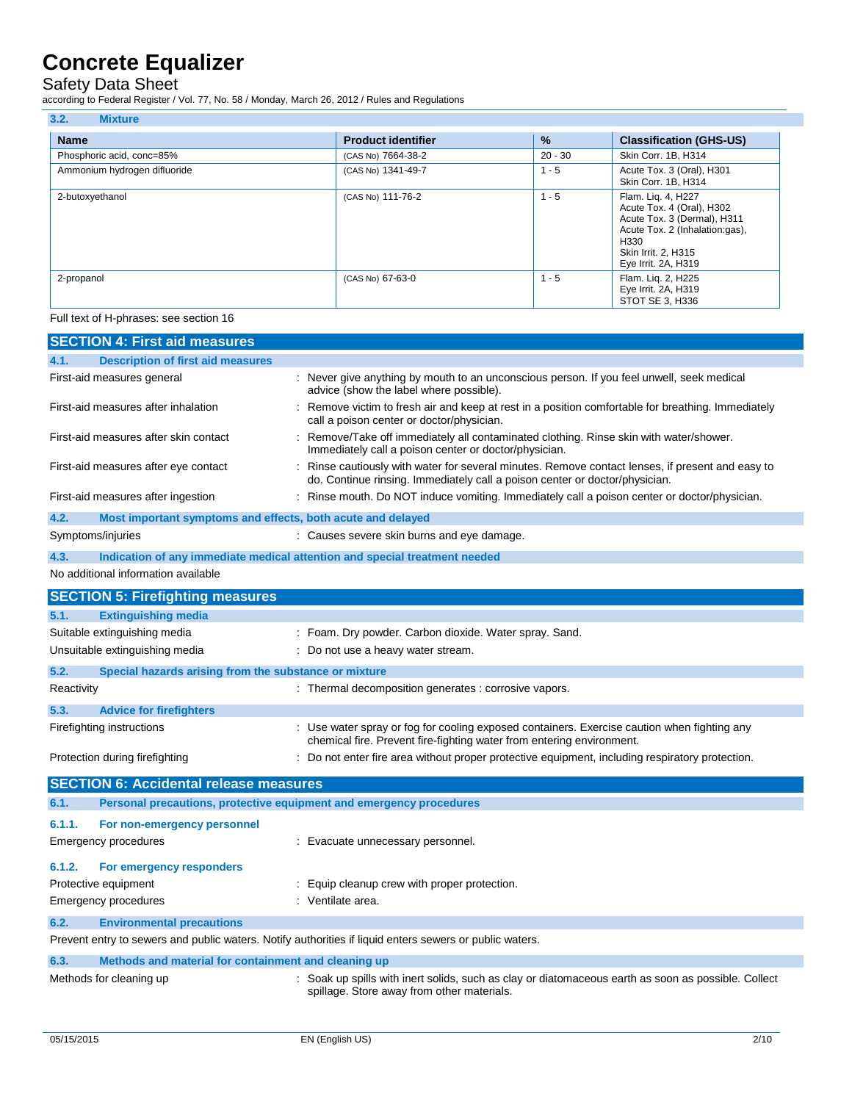#### Safety Data Sheet

according to Federal Register / Vol. 77, No. 58 / Monday, March 26, 2012 / Rules and Regulations

| avvolumų tv i vaviai rtvykiusi į v vi. 1 i į rtv. vo į monaay, marvii Ev, Ev i E į rturvo and rtvydiativno |                           |               |                                                                                                                                                                        |  |
|------------------------------------------------------------------------------------------------------------|---------------------------|---------------|------------------------------------------------------------------------------------------------------------------------------------------------------------------------|--|
| 3.2.<br><b>Mixture</b>                                                                                     |                           |               |                                                                                                                                                                        |  |
| <b>Name</b>                                                                                                | <b>Product identifier</b> | $\frac{9}{6}$ | <b>Classification (GHS-US)</b>                                                                                                                                         |  |
| Phosphoric acid, conc=85%                                                                                  | (CAS No) 7664-38-2        | $20 - 30$     | Skin Corr. 1B, H314                                                                                                                                                    |  |
| Ammonium hydrogen difluoride                                                                               | (CAS No) 1341-49-7        | $1 - 5$       | Acute Tox. 3 (Oral), H301<br>Skin Corr. 1B, H314                                                                                                                       |  |
| 2-butoxyethanol                                                                                            | (CAS No) 111-76-2         | $1 - 5$       | Flam. Lig. 4, H227<br>Acute Tox. 4 (Oral), H302<br>Acute Tox. 3 (Dermal), H311<br>Acute Tox. 2 (Inhalation:gas),<br>H330<br>Skin Irrit. 2, H315<br>Eye Irrit. 2A, H319 |  |

2-propanol **2-propanol** CAS No) 67-63-0 1 - 5 Flam. Liq. 2, H225

#### Full text of H-phrases: see section 16

|                                          | <b>SECTION 4: First aid measures</b>                                                                    |                                                                                                                                                                                 |  |
|------------------------------------------|---------------------------------------------------------------------------------------------------------|---------------------------------------------------------------------------------------------------------------------------------------------------------------------------------|--|
| 4.1.                                     | <b>Description of first aid measures</b>                                                                |                                                                                                                                                                                 |  |
|                                          | First-aid measures general                                                                              | : Never give anything by mouth to an unconscious person. If you feel unwell, seek medical<br>advice (show the label where possible).                                            |  |
|                                          | First-aid measures after inhalation                                                                     | : Remove victim to fresh air and keep at rest in a position comfortable for breathing. Immediately<br>call a poison center or doctor/physician.                                 |  |
|                                          | First-aid measures after skin contact                                                                   | : Remove/Take off immediately all contaminated clothing. Rinse skin with water/shower.<br>Immediately call a poison center or doctor/physician.                                 |  |
|                                          | First-aid measures after eye contact                                                                    | : Rinse cautiously with water for several minutes. Remove contact lenses, if present and easy to<br>do. Continue rinsing. Immediately call a poison center or doctor/physician. |  |
|                                          | First-aid measures after ingestion                                                                      | : Rinse mouth. Do NOT induce vomiting. Immediately call a poison center or doctor/physician.                                                                                    |  |
| 4.2.                                     | Most important symptoms and effects, both acute and delayed                                             |                                                                                                                                                                                 |  |
| Symptoms/injuries                        |                                                                                                         | : Causes severe skin burns and eye damage.                                                                                                                                      |  |
| 4.3.                                     |                                                                                                         | Indication of any immediate medical attention and special treatment needed                                                                                                      |  |
|                                          | No additional information available                                                                     |                                                                                                                                                                                 |  |
|                                          | <b>SECTION 5: Firefighting measures</b>                                                                 |                                                                                                                                                                                 |  |
| 5.1.                                     | <b>Extinguishing media</b>                                                                              |                                                                                                                                                                                 |  |
|                                          | Suitable extinguishing media                                                                            | : Foam. Dry powder. Carbon dioxide. Water spray. Sand.                                                                                                                          |  |
|                                          | Unsuitable extinguishing media                                                                          | : Do not use a heavy water stream.                                                                                                                                              |  |
| 5.2.                                     | Special hazards arising from the substance or mixture                                                   |                                                                                                                                                                                 |  |
| Reactivity                               |                                                                                                         | : Thermal decomposition generates : corrosive vapors.                                                                                                                           |  |
| 5.3.                                     | <b>Advice for firefighters</b>                                                                          |                                                                                                                                                                                 |  |
|                                          | Firefighting instructions                                                                               | : Use water spray or fog for cooling exposed containers. Exercise caution when fighting any<br>chemical fire. Prevent fire-fighting water from entering environment.            |  |
|                                          | Protection during firefighting                                                                          | : Do not enter fire area without proper protective equipment, including respiratory protection.                                                                                 |  |
|                                          | <b>SECTION 6: Accidental release measures</b>                                                           |                                                                                                                                                                                 |  |
| 6.1.                                     | Personal precautions, protective equipment and emergency procedures                                     |                                                                                                                                                                                 |  |
| 6.1.1.                                   | For non-emergency personnel                                                                             |                                                                                                                                                                                 |  |
|                                          | <b>Emergency procedures</b>                                                                             | : Evacuate unnecessary personnel.                                                                                                                                               |  |
| 6.1.2.                                   | For emergency responders                                                                                |                                                                                                                                                                                 |  |
|                                          | Protective equipment                                                                                    | : Equip cleanup crew with proper protection.                                                                                                                                    |  |
|                                          | <b>Emergency procedures</b>                                                                             | : Ventilate area.                                                                                                                                                               |  |
| 6.2.<br><b>Environmental precautions</b> |                                                                                                         |                                                                                                                                                                                 |  |
|                                          | Prevent entry to sewers and public waters. Notify authorities if liquid enters sewers or public waters. |                                                                                                                                                                                 |  |
| 6.3.                                     | Methods and material for containment and cleaning up                                                    |                                                                                                                                                                                 |  |
|                                          | Methods for cleaning up                                                                                 | : Soak up spills with inert solids, such as clay or diatomaceous earth as soon as possible. Collect<br>spillage. Store away from other materials.                               |  |

Eye Irrit. 2A, H319 STOT SE 3, H336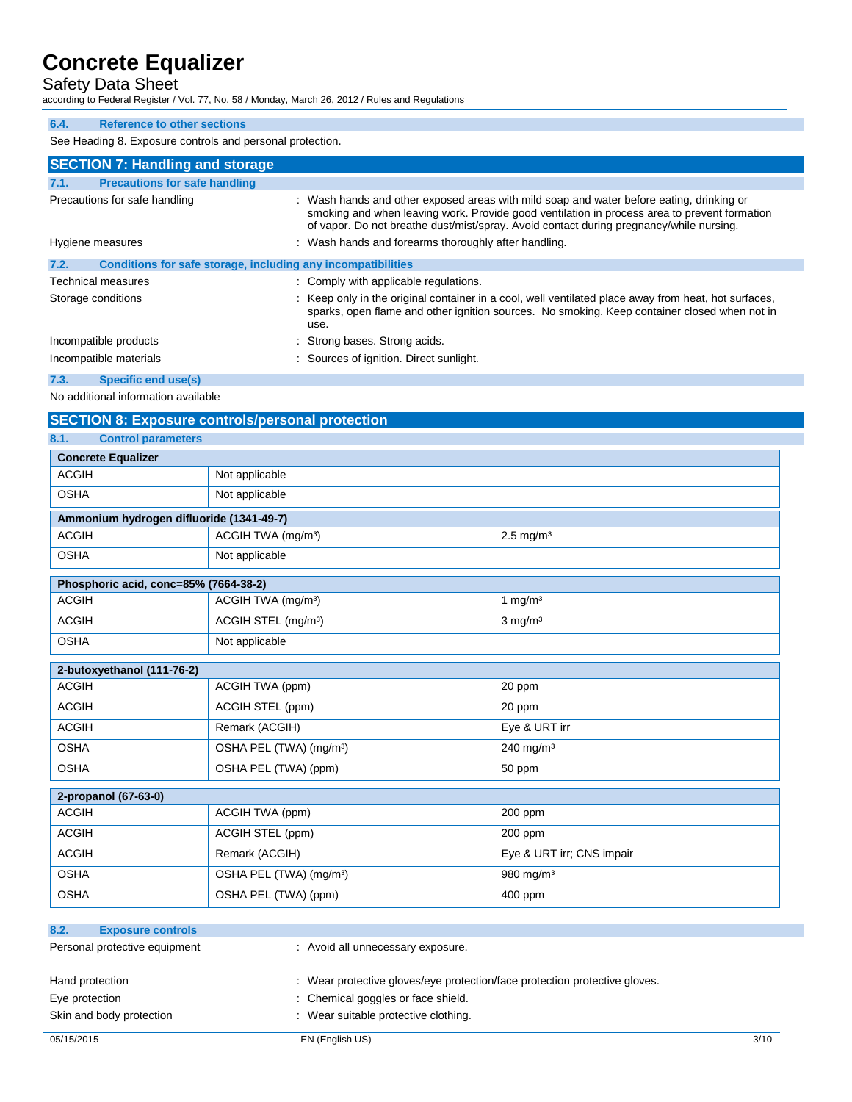### Safety Data Sheet

according to Federal Register / Vol. 77, No. 58 / Monday, March 26, 2012 / Rules and Regulations

#### **6.4. Reference to other sections**

See Heading 8. Exposure controls and personal protection.

| <b>SECTION 7: Handling and storage</b>                               |                                                                                                                                                                                                                                                                                     |
|----------------------------------------------------------------------|-------------------------------------------------------------------------------------------------------------------------------------------------------------------------------------------------------------------------------------------------------------------------------------|
| 7.1.<br><b>Precautions for safe handling</b>                         |                                                                                                                                                                                                                                                                                     |
| Precautions for safe handling                                        | : Wash hands and other exposed areas with mild soap and water before eating, drinking or<br>smoking and when leaving work. Provide good ventilation in process area to prevent formation<br>of vapor. Do not breathe dust/mist/spray. Avoid contact during pregnancy/while nursing. |
| Hygiene measures                                                     | : Wash hands and forearms thoroughly after handling.                                                                                                                                                                                                                                |
| 7.2.<br>Conditions for safe storage, including any incompatibilities |                                                                                                                                                                                                                                                                                     |
| <b>Technical measures</b>                                            | : Comply with applicable regulations.                                                                                                                                                                                                                                               |
| Storage conditions                                                   | : Keep only in the original container in a cool, well ventilated place away from heat, hot surfaces,<br>sparks, open flame and other ignition sources. No smoking. Keep container closed when not in<br>use.                                                                        |
| Incompatible products                                                | : Strong bases. Strong acids.                                                                                                                                                                                                                                                       |
| Incompatible materials                                               | : Sources of ignition. Direct sunlight.                                                                                                                                                                                                                                             |
| 7.3.<br>Specific end use(s)                                          |                                                                                                                                                                                                                                                                                     |

#### **7.3. Specific end use(s)**

No additional information available

| <b>SECTION 8: Exposure controls/personal protection</b> |                                     |                           |  |  |
|---------------------------------------------------------|-------------------------------------|---------------------------|--|--|
| 8.1.<br><b>Control parameters</b>                       |                                     |                           |  |  |
| <b>Concrete Equalizer</b>                               |                                     |                           |  |  |
| <b>ACGIH</b>                                            | Not applicable                      |                           |  |  |
| <b>OSHA</b>                                             | Not applicable                      |                           |  |  |
| Ammonium hydrogen difluoride (1341-49-7)                |                                     |                           |  |  |
| <b>ACGIH</b>                                            | ACGIH TWA (mg/m <sup>3</sup> )      | $2.5$ mg/m <sup>3</sup>   |  |  |
| <b>OSHA</b>                                             | Not applicable                      |                           |  |  |
| Phosphoric acid, conc=85% (7664-38-2)                   |                                     |                           |  |  |
| <b>ACGIH</b>                                            | ACGIH TWA (mg/m <sup>3</sup> )      | 1 mg/m $3$                |  |  |
| <b>ACGIH</b>                                            | ACGIH STEL (mg/m <sup>3</sup> )     | $3$ mg/m <sup>3</sup>     |  |  |
| <b>OSHA</b>                                             | Not applicable                      |                           |  |  |
| 2-butoxyethanol (111-76-2)                              |                                     |                           |  |  |
| <b>ACGIH</b>                                            | ACGIH TWA (ppm)                     | 20 ppm                    |  |  |
| <b>ACGIH</b>                                            | ACGIH STEL (ppm)                    | 20 ppm                    |  |  |
| <b>ACGIH</b>                                            | Remark (ACGIH)                      | Eye & URT irr             |  |  |
| <b>OSHA</b>                                             | OSHA PEL (TWA) (mg/m <sup>3</sup> ) | $240$ mg/m <sup>3</sup>   |  |  |
| <b>OSHA</b>                                             | OSHA PEL (TWA) (ppm)                | 50 ppm                    |  |  |
| 2-propanol (67-63-0)                                    |                                     |                           |  |  |
| <b>ACGIH</b>                                            | ACGIH TWA (ppm)                     | 200 ppm                   |  |  |
| <b>ACGIH</b>                                            | ACGIH STEL (ppm)                    | 200 ppm                   |  |  |
| <b>ACGIH</b>                                            | Remark (ACGIH)                      | Eye & URT irr; CNS impair |  |  |
| <b>OSHA</b>                                             | OSHA PEL (TWA) (mg/m <sup>3</sup> ) | 980 mg/m <sup>3</sup>     |  |  |
| <b>OSHA</b>                                             | OSHA PEL (TWA) (ppm)                | 400 ppm                   |  |  |
|                                                         |                                     |                           |  |  |
| 8.2.<br><b>Exposure controls</b>                        |                                     |                           |  |  |
| Personal protective equipment                           | : Avoid all unnecessary exposure.   |                           |  |  |

| Hand protection          | : Wear protective gloves/eye protection/face protection protective gloves. |      |
|--------------------------|----------------------------------------------------------------------------|------|
| Eye protection           | : Chemical goggles or face shield.                                         |      |
| Skin and body protection |                                                                            |      |
|                          | : Wear suitable protective clothing.                                       |      |
| 05/15/2015               | EN (English US)                                                            | 3/10 |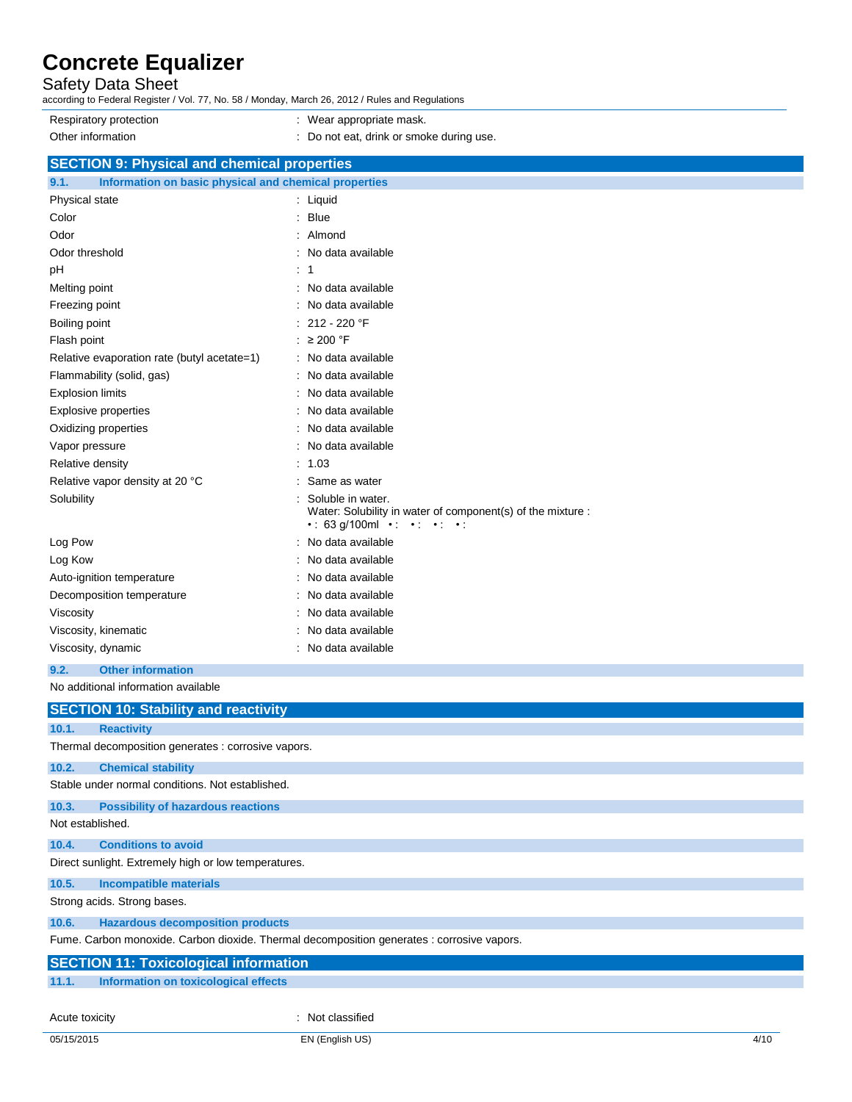### Safety Data Sheet

according to Federal Register / Vol. 77, No. 58 / Monday, March 26, 2012 / Rules and Regulations

Respiratory protection **in the set of the COV** wear appropriate mask. Other information **contains the container of the container**  $\blacksquare$  : Do not eat, drink or smoke during use.

### **SECTION 9: Physical and chemical properties**

| Information on basic physical and chemical properties<br>9.1. |                                                                                                                                                          |  |  |
|---------------------------------------------------------------|----------------------------------------------------------------------------------------------------------------------------------------------------------|--|--|
| Physical state                                                | : Liquid                                                                                                                                                 |  |  |
| Color                                                         | <b>Blue</b><br>÷                                                                                                                                         |  |  |
| Odor                                                          | $:$ Almond                                                                                                                                               |  |  |
| Odor threshold                                                | : No data available                                                                                                                                      |  |  |
| pH                                                            | : 1                                                                                                                                                      |  |  |
| Melting point                                                 | No data available                                                                                                                                        |  |  |
| Freezing point                                                | No data available                                                                                                                                        |  |  |
| Boiling point                                                 | 212 - 220 °F                                                                                                                                             |  |  |
| Flash point                                                   | : $\geq 200$ °F                                                                                                                                          |  |  |
| Relative evaporation rate (butyl acetate=1)                   | : No data available                                                                                                                                      |  |  |
| Flammability (solid, gas)                                     | No data available                                                                                                                                        |  |  |
| <b>Explosion limits</b>                                       | No data available                                                                                                                                        |  |  |
| <b>Explosive properties</b>                                   | No data available                                                                                                                                        |  |  |
| Oxidizing properties                                          | No data available                                                                                                                                        |  |  |
| Vapor pressure                                                | No data available<br>÷                                                                                                                                   |  |  |
| 1.03<br>Relative density                                      |                                                                                                                                                          |  |  |
| Relative vapor density at 20 °C                               | Same as water                                                                                                                                            |  |  |
| Solubility                                                    | Soluble in water.<br>Water: Solubility in water of component(s) of the mixture :<br>$\cdot$ : 63 g/100ml $\cdot$ $\cdot$ $\cdot$ $\cdot$ $\cdot$ $\cdot$ |  |  |
| Log Pow                                                       | : No data available                                                                                                                                      |  |  |
| Log Kow                                                       | No data available                                                                                                                                        |  |  |
| Auto-ignition temperature                                     | No data available                                                                                                                                        |  |  |
| Decomposition temperature                                     | No data available                                                                                                                                        |  |  |
| Viscosity                                                     | No data available                                                                                                                                        |  |  |
| No data available<br>Viscosity, kinematic                     |                                                                                                                                                          |  |  |
| : No data available<br>Viscosity, dynamic                     |                                                                                                                                                          |  |  |
| 9.2.<br><b>Other information</b>                              |                                                                                                                                                          |  |  |

No additional information available

|                                                                                            | <b>SECTION 10: Stability and reactivity</b>          |  |  |
|--------------------------------------------------------------------------------------------|------------------------------------------------------|--|--|
| 10.1.                                                                                      | <b>Reactivity</b>                                    |  |  |
|                                                                                            | Thermal decomposition generates : corrosive vapors.  |  |  |
| 10.2.                                                                                      | <b>Chemical stability</b>                            |  |  |
|                                                                                            | Stable under normal conditions. Not established.     |  |  |
| 10.3.                                                                                      | <b>Possibility of hazardous reactions</b>            |  |  |
| Not established.                                                                           |                                                      |  |  |
| 10.4.                                                                                      | <b>Conditions to avoid</b>                           |  |  |
|                                                                                            | Direct sunlight. Extremely high or low temperatures. |  |  |
| 10.5.                                                                                      | <b>Incompatible materials</b>                        |  |  |
|                                                                                            | Strong acids. Strong bases.                          |  |  |
| 10.6.                                                                                      | <b>Hazardous decomposition products</b>              |  |  |
| Fume. Carbon monoxide. Carbon dioxide. Thermal decomposition generates : corrosive vapors. |                                                      |  |  |
| <b>SECTION 11: Toxicological information</b>                                               |                                                      |  |  |
| 11.1.                                                                                      | Information on toxicological effects                 |  |  |
| Acute toxicity                                                                             | : Not classified                                     |  |  |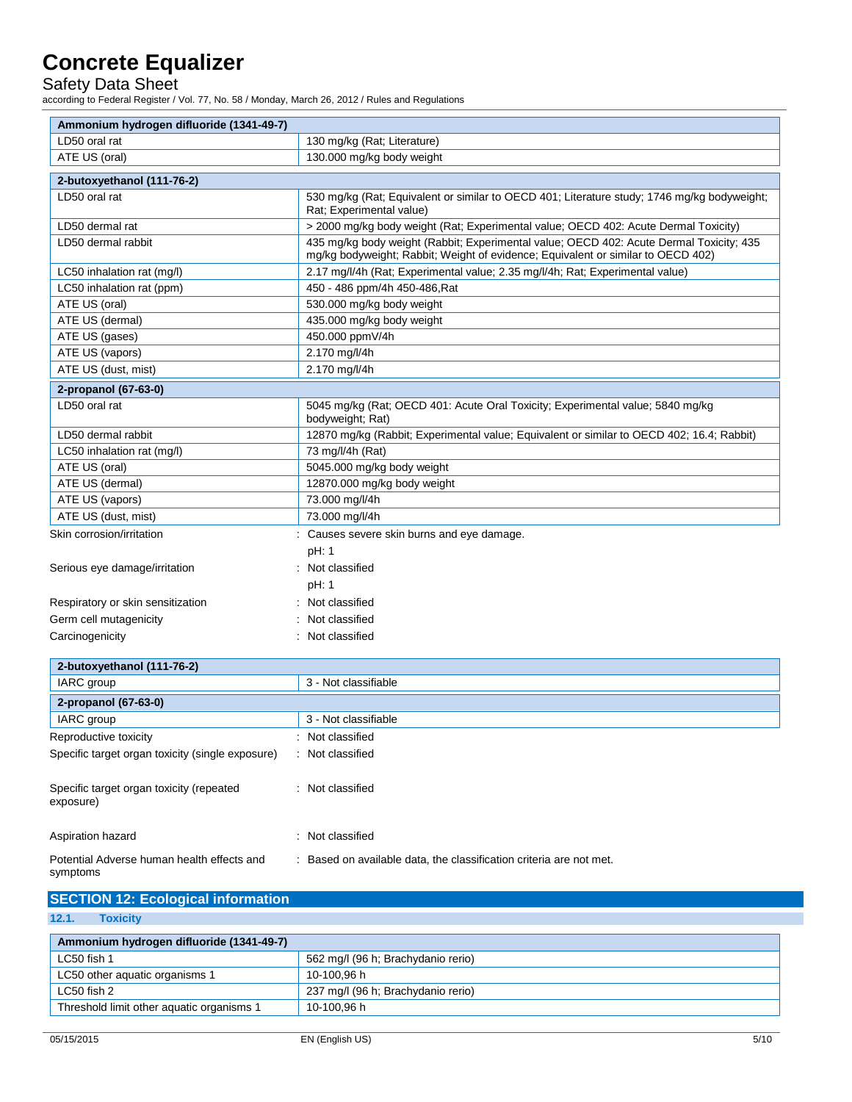Safety Data Sheet

according to Federal Register / Vol. 77, No. 58 / Monday, March 26, 2012 / Rules and Regulations

| Ammonium hydrogen difluoride (1341-49-7) |                                                                                                                                                                             |
|------------------------------------------|-----------------------------------------------------------------------------------------------------------------------------------------------------------------------------|
| LD50 oral rat                            | 130 mg/kg (Rat; Literature)                                                                                                                                                 |
| ATE US (oral)                            | 130.000 mg/kg body weight                                                                                                                                                   |
| 2-butoxyethanol (111-76-2)               |                                                                                                                                                                             |
| LD50 oral rat                            | 530 mg/kg (Rat: Equivalent or similar to OECD 401; Literature study; 1746 mg/kg bodyweight;<br>Rat: Experimental value)                                                     |
| LD50 dermal rat                          | > 2000 mg/kg body weight (Rat; Experimental value; OECD 402: Acute Dermal Toxicity)                                                                                         |
| LD50 dermal rabbit                       | 435 mg/kg body weight (Rabbit; Experimental value; OECD 402: Acute Dermal Toxicity; 435<br>mg/kg bodyweight; Rabbit; Weight of evidence; Equivalent or similar to OECD 402) |
| LC50 inhalation rat (mg/l)               | 2.17 mg/l/4h (Rat; Experimental value; 2.35 mg/l/4h; Rat; Experimental value)                                                                                               |
| LC50 inhalation rat (ppm)                | 450 - 486 ppm/4h 450-486, Rat                                                                                                                                               |
| ATE US (oral)                            | 530.000 mg/kg body weight                                                                                                                                                   |
| ATE US (dermal)                          | 435.000 mg/kg body weight                                                                                                                                                   |
| ATE US (gases)                           | 450.000 ppmV/4h                                                                                                                                                             |
| ATE US (vapors)                          | 2.170 mg/l/4h                                                                                                                                                               |
| ATE US (dust, mist)                      | 2.170 mg/l/4h                                                                                                                                                               |
| 2-propanol (67-63-0)                     |                                                                                                                                                                             |
| LD50 oral rat                            | 5045 mg/kg (Rat; OECD 401: Acute Oral Toxicity; Experimental value; 5840 mg/kg<br>bodyweight; Rat)                                                                          |
| LD50 dermal rabbit                       | 12870 mg/kg (Rabbit; Experimental value; Equivalent or similar to OECD 402; 16.4; Rabbit)                                                                                   |
| LC50 inhalation rat (mg/l)               | 73 mg/l/4h (Rat)                                                                                                                                                            |
| ATE US (oral)                            | 5045.000 mg/kg body weight                                                                                                                                                  |
| ATE US (dermal)                          | 12870.000 mg/kg body weight                                                                                                                                                 |
| ATE US (vapors)                          | 73.000 mg/l/4h                                                                                                                                                              |
| ATE US (dust, mist)                      | 73.000 mg/l/4h                                                                                                                                                              |
| Skin corrosion/irritation                | : Causes severe skin burns and eye damage.<br>pH: 1                                                                                                                         |
| Serious eye damage/irritation            | : Not classified                                                                                                                                                            |
|                                          | pH: 1                                                                                                                                                                       |
| Respiratory or skin sensitization        | : Not classified                                                                                                                                                            |
| Germ cell mutagenicity                   | Not classified                                                                                                                                                              |
| Carcinogenicity                          | Not classified                                                                                                                                                              |
|                                          |                                                                                                                                                                             |
| 2-butoxyethanol (111-76-2)               | 3 - Not classifiable                                                                                                                                                        |
| IARC group                               |                                                                                                                                                                             |
| 2-propanol (67-63-0)                     |                                                                                                                                                                             |
| IARC group                               | 3 - Not classifiable                                                                                                                                                        |
| Reproductive toxicity                    | : Not classified                                                                                                                                                            |

| Reproductive toxicity                                  | : Not classified                                                    |
|--------------------------------------------------------|---------------------------------------------------------------------|
| Specific target organ toxicity (single exposure)       | : Not classified                                                    |
| Specific target organ toxicity (repeated<br>exposure)  | : Not classified                                                    |
| Aspiration hazard                                      | : Not classified                                                    |
| Potential Adverse human health effects and<br>symptoms | : Based on available data, the classification criteria are not met. |

| <b>SECTION 12: Ecological information</b> |                                    |  |  |  |  |
|-------------------------------------------|------------------------------------|--|--|--|--|
| 12.1.<br><b>Toxicity</b>                  |                                    |  |  |  |  |
| Ammonium hydrogen difluoride (1341-49-7)  |                                    |  |  |  |  |
| LC50 fish 1                               | 562 mg/l (96 h; Brachydanio rerio) |  |  |  |  |
|                                           |                                    |  |  |  |  |

| LC50 fish 1                               | 562 mg/l (96 h; Brachydanio rerio) |
|-------------------------------------------|------------------------------------|
| LC50 other aquatic organisms 1            | 10-100.96 h                        |
| LC50 fish 2                               | 237 mg/l (96 h; Brachydanio rerio) |
| Threshold limit other aquatic organisms 1 | 10-100.96 h                        |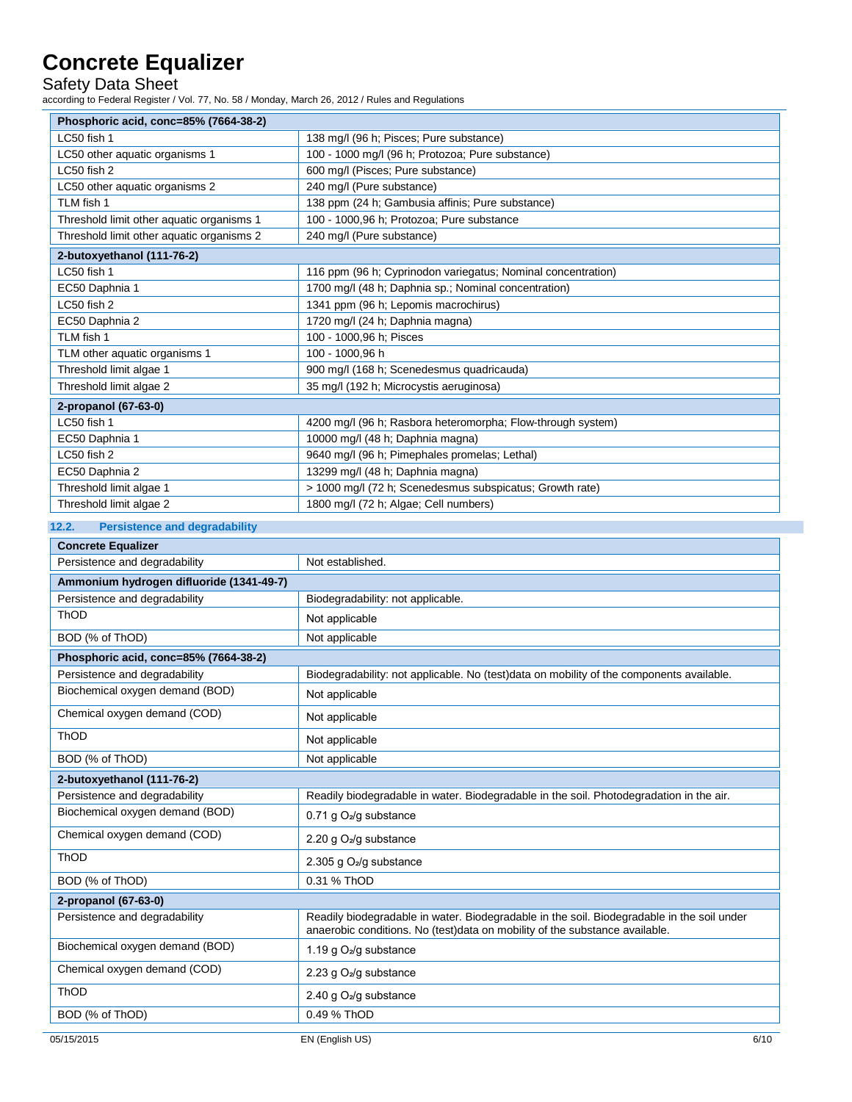Safety Data Sheet

according to Federal Register / Vol. 77, No. 58 / Monday, March 26, 2012 / Rules and Regulations

| Phosphoric acid, conc=85% (7664-38-2)     |                                                              |  |
|-------------------------------------------|--------------------------------------------------------------|--|
| LC50 fish 1                               | 138 mg/l (96 h; Pisces; Pure substance)                      |  |
| LC50 other aquatic organisms 1            | 100 - 1000 mg/l (96 h; Protozoa; Pure substance)             |  |
| LC50 fish 2                               | 600 mg/l (Pisces; Pure substance)                            |  |
| LC50 other aquatic organisms 2            | 240 mg/l (Pure substance)                                    |  |
| TLM fish 1                                | 138 ppm (24 h; Gambusia affinis; Pure substance)             |  |
| Threshold limit other aquatic organisms 1 | 100 - 1000,96 h; Protozoa; Pure substance                    |  |
| Threshold limit other aquatic organisms 2 | 240 mg/l (Pure substance)                                    |  |
| 2-butoxyethanol (111-76-2)                |                                                              |  |
| LC50 fish 1                               | 116 ppm (96 h; Cyprinodon variegatus; Nominal concentration) |  |
| EC50 Daphnia 1                            | 1700 mg/l (48 h; Daphnia sp.; Nominal concentration)         |  |
| LC50 fish 2                               | 1341 ppm (96 h; Lepomis macrochirus)                         |  |
| EC50 Daphnia 2                            | 1720 mg/l (24 h; Daphnia magna)                              |  |
| TLM fish 1                                | 100 - 1000,96 h; Pisces                                      |  |
| TLM other aquatic organisms 1             | 100 - 1000.96 h                                              |  |
| Threshold limit algae 1                   | 900 mg/l (168 h; Scenedesmus quadricauda)                    |  |
| Threshold limit algae 2                   | 35 mg/l (192 h; Microcystis aeruginosa)                      |  |
| 2-propanol (67-63-0)                      |                                                              |  |
| LC50 fish 1                               | 4200 mg/l (96 h; Rasbora heteromorpha; Flow-through system)  |  |
| EC50 Daphnia 1                            | 10000 mg/l (48 h; Daphnia magna)                             |  |
| LC50 fish 2                               | 9640 mg/l (96 h; Pimephales promelas; Lethal)                |  |
| EC50 Daphnia 2                            | 13299 mg/l (48 h; Daphnia magna)                             |  |
| Threshold limit algae 1                   | > 1000 mg/l (72 h; Scenedesmus subspicatus; Growth rate)     |  |
| Threshold limit algae 2                   | 1800 mg/l (72 h; Algae; Cell numbers)                        |  |

#### **12.2. Persistence and degradability**

| <b>Concrete Equalizer</b>                |                                                                                                                                                                           |  |
|------------------------------------------|---------------------------------------------------------------------------------------------------------------------------------------------------------------------------|--|
| Persistence and degradability            | Not established.                                                                                                                                                          |  |
| Ammonium hydrogen difluoride (1341-49-7) |                                                                                                                                                                           |  |
| Persistence and degradability            | Biodegradability: not applicable.                                                                                                                                         |  |
| ThOD                                     | Not applicable                                                                                                                                                            |  |
| BOD (% of ThOD)                          | Not applicable                                                                                                                                                            |  |
| Phosphoric acid, conc=85% (7664-38-2)    |                                                                                                                                                                           |  |
| Persistence and degradability            | Biodegradability: not applicable. No (test)data on mobility of the components available.                                                                                  |  |
| Biochemical oxygen demand (BOD)          | Not applicable                                                                                                                                                            |  |
| Chemical oxygen demand (COD)             | Not applicable                                                                                                                                                            |  |
| ThOD                                     | Not applicable                                                                                                                                                            |  |
| BOD (% of ThOD)                          | Not applicable                                                                                                                                                            |  |
| 2-butoxyethanol (111-76-2)               |                                                                                                                                                                           |  |
| Persistence and degradability            | Readily biodegradable in water. Biodegradable in the soil. Photodegradation in the air.                                                                                   |  |
| Biochemical oxygen demand (BOD)          | 0.71 g O <sub>2</sub> /g substance                                                                                                                                        |  |
| Chemical oxygen demand (COD)             | 2.20 g O <sub>2</sub> /g substance                                                                                                                                        |  |
| ThOD                                     | 2.305 g $O2/g$ substance                                                                                                                                                  |  |
| BOD (% of ThOD)                          | 0.31 % ThOD                                                                                                                                                               |  |
| 2-propanol (67-63-0)                     |                                                                                                                                                                           |  |
| Persistence and degradability            | Readily biodegradable in water. Biodegradable in the soil. Biodegradable in the soil under<br>anaerobic conditions. No (test)data on mobility of the substance available. |  |
| Biochemical oxygen demand (BOD)          | 1.19 g O <sub>2</sub> /g substance                                                                                                                                        |  |
| Chemical oxygen demand (COD)             | 2.23 g $O_2$ /g substance                                                                                                                                                 |  |
| ThOD                                     | 2.40 g O <sub>2</sub> /g substance                                                                                                                                        |  |
| BOD (% of ThOD)                          | 0.49 % ThOD                                                                                                                                                               |  |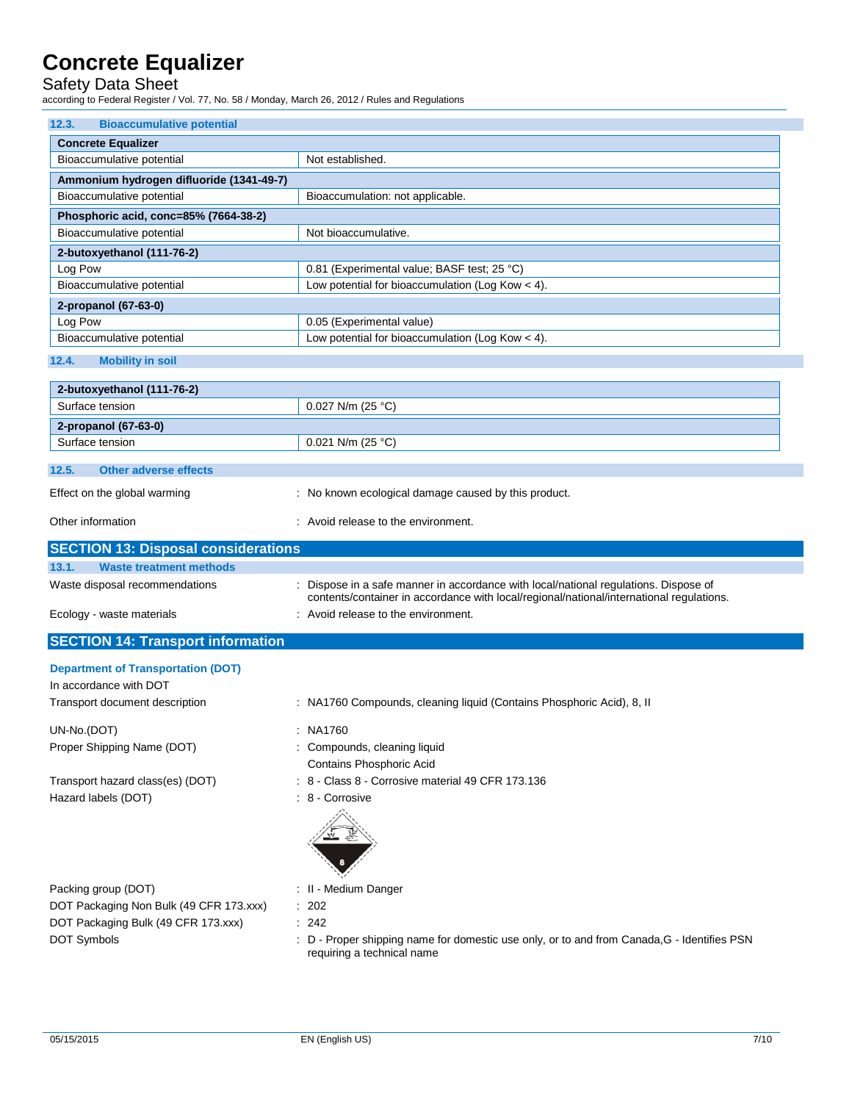### Safety Data Sheet

according to Federal Register / Vol. 77, No. 58 / Monday, March 26, 2012 / Rules and Regulations

| 12.3.<br><b>Bioaccumulative potential</b> |                                                    |  |
|-------------------------------------------|----------------------------------------------------|--|
| <b>Concrete Equalizer</b>                 |                                                    |  |
| Bioaccumulative potential                 | Not established.                                   |  |
| Ammonium hydrogen difluoride (1341-49-7)  |                                                    |  |
| Bioaccumulative potential                 | Bioaccumulation: not applicable.                   |  |
| Phosphoric acid, conc=85% (7664-38-2)     |                                                    |  |
| Bioaccumulative potential                 | Not bioaccumulative.                               |  |
| 2-butoxyethanol (111-76-2)                |                                                    |  |
| Log Pow                                   | 0.81 (Experimental value; BASF test; 25 °C)        |  |
| Bioaccumulative potential                 | Low potential for bioaccumulation (Log Kow $<$ 4). |  |
| 2-propanol (67-63-0)                      |                                                    |  |
| Log Pow                                   | 0.05 (Experimental value)                          |  |
| Bioaccumulative potential                 | Low potential for bioaccumulation (Log Kow $<$ 4). |  |

#### **12.4. Mobility in soil**

| 2-butoxyethanol (111-76-2)     |                                                      |
|--------------------------------|------------------------------------------------------|
| Surface tension                | $0.027$ N/m (25 °C)                                  |
| 2-propanol (67-63-0)           |                                                      |
| Surface tension                | $0.021$ N/m (25 °C)                                  |
|                                |                                                      |
| 12.5.<br>Other adverse effects |                                                      |
| Effect on the global warming   | : No known ecological damage caused by this product. |

| Other information | : Avoid release to the environment. |
|-------------------|-------------------------------------|
|                   |                                     |

| <b>SECTION 13: Disposal considerations</b> |                                                                                                                                                                                  |
|--------------------------------------------|----------------------------------------------------------------------------------------------------------------------------------------------------------------------------------|
| 13.1.<br>Waste treatment methods           |                                                                                                                                                                                  |
| Waste disposal recommendations             | : Dispose in a safe manner in accordance with local/national regulations. Dispose of<br>contents/container in accordance with local/regional/national/international regulations. |
| Ecology - waste materials                  | : Avoid release to the environment.                                                                                                                                              |

### **SECTION 14: Transport information**

### **Department of Transportation (DOT)**

| In accordance with DOT                  |                                                                       |
|-----------------------------------------|-----------------------------------------------------------------------|
| Transport document description          | : NA1760 Compounds, cleaning liquid (Contains Phosphoric Acid), 8, II |
| UN-No.(DOT)                             | : NA1760                                                              |
| Proper Shipping Name (DOT)              | : Compounds, cleaning liquid                                          |
|                                         | Contains Phosphoric Acid                                              |
| Transport hazard class(es) (DOT)        | : 8 - Class 8 - Corrosive material 49 CFR 173.136                     |
| Hazard labels (DOT)                     | $: 8 -$ Corrosive                                                     |
|                                         |                                                                       |
| Packing group (DOT)                     | : II - Medium Danger                                                  |
| DOT Packaging Non Bulk (49 CFR 173.xxx) | : 202                                                                 |
| DOT Packaging Bulk (49 CFR 173.xxx)     | : 242                                                                 |

DOT Symbols **EXECUTE:** D - Proper shipping name for domestic use only, or to and from Canada,G - Identifies PSN requiring a technical name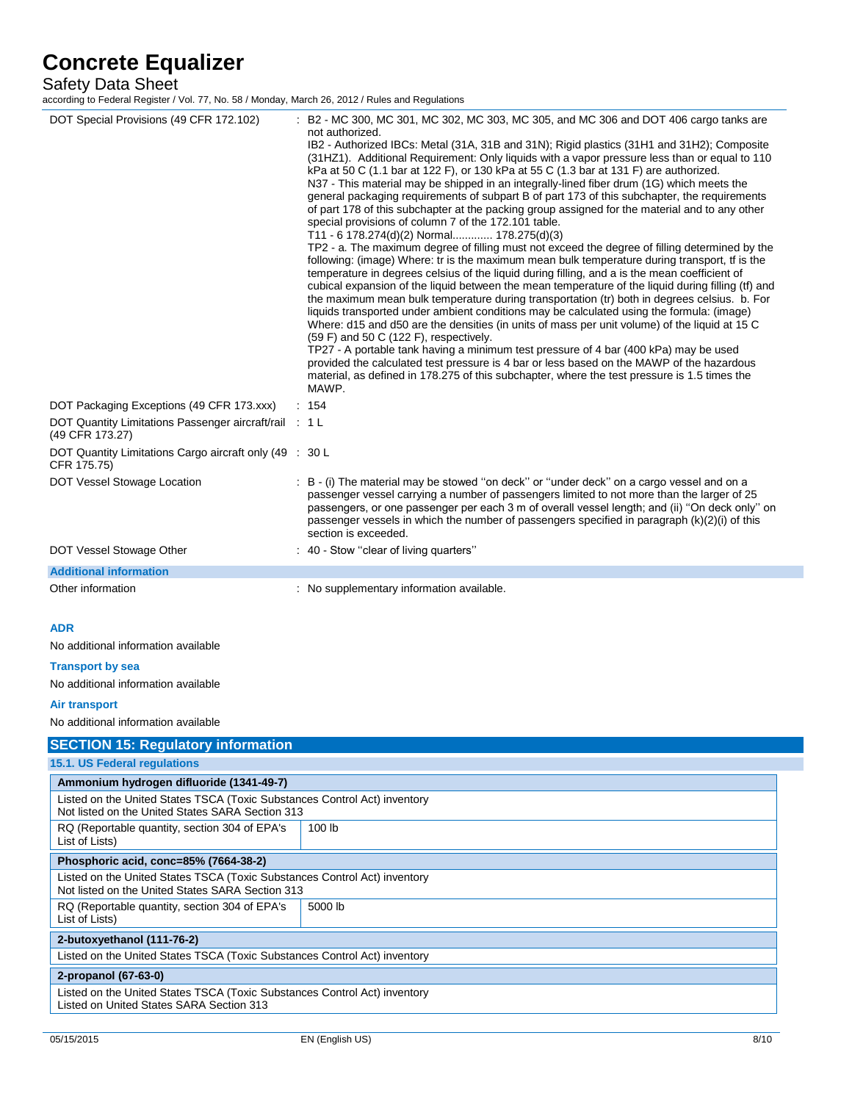#### Safety Data Sheet

according to Federal Register / Vol. 77, No. 58 / Monday, March 26, 2012 / Rules and Regulations

| DOT Special Provisions (49 CFR 172.102)                                                                                       | : B2 - MC 300, MC 301, MC 302, MC 303, MC 305, and MC 306 and DOT 406 cargo tanks are<br>not authorized.<br>IB2 - Authorized IBCs: Metal (31A, 31B and 31N); Rigid plastics (31H1 and 31H2); Composite<br>(31HZ1). Additional Requirement: Only liquids with a vapor pressure less than or equal to 110<br>kPa at 50 C (1.1 bar at 122 F), or 130 kPa at 55 C (1.3 bar at 131 F) are authorized.<br>N37 - This material may be shipped in an integrally-lined fiber drum (1G) which meets the<br>general packaging requirements of subpart B of part 173 of this subchapter, the requirements<br>of part 178 of this subchapter at the packing group assigned for the material and to any other<br>special provisions of column 7 of the 172.101 table.<br>T11 - 6 178.274(d)(2) Normal 178.275(d)(3)<br>TP2 - a. The maximum degree of filling must not exceed the degree of filling determined by the<br>following: (image) Where: tr is the maximum mean bulk temperature during transport, tf is the<br>temperature in degrees celsius of the liquid during filling, and a is the mean coefficient of<br>cubical expansion of the liquid between the mean temperature of the liquid during filling (tf) and<br>the maximum mean bulk temperature during transportation (tr) both in degrees celsius. b. For<br>liquids transported under ambient conditions may be calculated using the formula: (image)<br>Where: d15 and d50 are the densities (in units of mass per unit volume) of the liquid at 15 C<br>$(59 F)$ and 50 C $(122 F)$ , respectively.<br>TP27 - A portable tank having a minimum test pressure of 4 bar (400 kPa) may be used<br>provided the calculated test pressure is 4 bar or less based on the MAWP of the hazardous<br>material, as defined in 178.275 of this subchapter, where the test pressure is 1.5 times the<br>MAWP. |
|-------------------------------------------------------------------------------------------------------------------------------|------------------------------------------------------------------------------------------------------------------------------------------------------------------------------------------------------------------------------------------------------------------------------------------------------------------------------------------------------------------------------------------------------------------------------------------------------------------------------------------------------------------------------------------------------------------------------------------------------------------------------------------------------------------------------------------------------------------------------------------------------------------------------------------------------------------------------------------------------------------------------------------------------------------------------------------------------------------------------------------------------------------------------------------------------------------------------------------------------------------------------------------------------------------------------------------------------------------------------------------------------------------------------------------------------------------------------------------------------------------------------------------------------------------------------------------------------------------------------------------------------------------------------------------------------------------------------------------------------------------------------------------------------------------------------------------------------------------------------------------------------------------------------------------------------------------------------------------------------------|
| DOT Packaging Exceptions (49 CFR 173.xxx)<br>DOT Quantity Limitations Passenger aircraft/rail : 1 L                           | : 154                                                                                                                                                                                                                                                                                                                                                                                                                                                                                                                                                                                                                                                                                                                                                                                                                                                                                                                                                                                                                                                                                                                                                                                                                                                                                                                                                                                                                                                                                                                                                                                                                                                                                                                                                                                                                                                      |
| (49 CFR 173.27)                                                                                                               |                                                                                                                                                                                                                                                                                                                                                                                                                                                                                                                                                                                                                                                                                                                                                                                                                                                                                                                                                                                                                                                                                                                                                                                                                                                                                                                                                                                                                                                                                                                                                                                                                                                                                                                                                                                                                                                            |
| DOT Quantity Limitations Cargo aircraft only (49 : 30 L<br>CFR 175.75)                                                        |                                                                                                                                                                                                                                                                                                                                                                                                                                                                                                                                                                                                                                                                                                                                                                                                                                                                                                                                                                                                                                                                                                                                                                                                                                                                                                                                                                                                                                                                                                                                                                                                                                                                                                                                                                                                                                                            |
| DOT Vessel Stowage Location                                                                                                   | : B - (i) The material may be stowed "on deck" or "under deck" on a cargo vessel and on a<br>passenger vessel carrying a number of passengers limited to not more than the larger of 25<br>passengers, or one passenger per each 3 m of overall vessel length; and (ii) "On deck only" on<br>passenger vessels in which the number of passengers specified in paragraph (k)(2)(i) of this<br>section is exceeded.                                                                                                                                                                                                                                                                                                                                                                                                                                                                                                                                                                                                                                                                                                                                                                                                                                                                                                                                                                                                                                                                                                                                                                                                                                                                                                                                                                                                                                          |
| DOT Vessel Stowage Other                                                                                                      | : 40 - Stow "clear of living quarters"                                                                                                                                                                                                                                                                                                                                                                                                                                                                                                                                                                                                                                                                                                                                                                                                                                                                                                                                                                                                                                                                                                                                                                                                                                                                                                                                                                                                                                                                                                                                                                                                                                                                                                                                                                                                                     |
| <b>Additional information</b>                                                                                                 |                                                                                                                                                                                                                                                                                                                                                                                                                                                                                                                                                                                                                                                                                                                                                                                                                                                                                                                                                                                                                                                                                                                                                                                                                                                                                                                                                                                                                                                                                                                                                                                                                                                                                                                                                                                                                                                            |
| Other information                                                                                                             | : No supplementary information available.                                                                                                                                                                                                                                                                                                                                                                                                                                                                                                                                                                                                                                                                                                                                                                                                                                                                                                                                                                                                                                                                                                                                                                                                                                                                                                                                                                                                                                                                                                                                                                                                                                                                                                                                                                                                                  |
| <b>ADR</b>                                                                                                                    |                                                                                                                                                                                                                                                                                                                                                                                                                                                                                                                                                                                                                                                                                                                                                                                                                                                                                                                                                                                                                                                                                                                                                                                                                                                                                                                                                                                                                                                                                                                                                                                                                                                                                                                                                                                                                                                            |
| No additional information available                                                                                           |                                                                                                                                                                                                                                                                                                                                                                                                                                                                                                                                                                                                                                                                                                                                                                                                                                                                                                                                                                                                                                                                                                                                                                                                                                                                                                                                                                                                                                                                                                                                                                                                                                                                                                                                                                                                                                                            |
| <b>Transport by sea</b>                                                                                                       |                                                                                                                                                                                                                                                                                                                                                                                                                                                                                                                                                                                                                                                                                                                                                                                                                                                                                                                                                                                                                                                                                                                                                                                                                                                                                                                                                                                                                                                                                                                                                                                                                                                                                                                                                                                                                                                            |
| No additional information available                                                                                           |                                                                                                                                                                                                                                                                                                                                                                                                                                                                                                                                                                                                                                                                                                                                                                                                                                                                                                                                                                                                                                                                                                                                                                                                                                                                                                                                                                                                                                                                                                                                                                                                                                                                                                                                                                                                                                                            |
| Air transport                                                                                                                 |                                                                                                                                                                                                                                                                                                                                                                                                                                                                                                                                                                                                                                                                                                                                                                                                                                                                                                                                                                                                                                                                                                                                                                                                                                                                                                                                                                                                                                                                                                                                                                                                                                                                                                                                                                                                                                                            |
| No additional information available                                                                                           |                                                                                                                                                                                                                                                                                                                                                                                                                                                                                                                                                                                                                                                                                                                                                                                                                                                                                                                                                                                                                                                                                                                                                                                                                                                                                                                                                                                                                                                                                                                                                                                                                                                                                                                                                                                                                                                            |
| <b>SECTION 15: Regulatory information</b>                                                                                     |                                                                                                                                                                                                                                                                                                                                                                                                                                                                                                                                                                                                                                                                                                                                                                                                                                                                                                                                                                                                                                                                                                                                                                                                                                                                                                                                                                                                                                                                                                                                                                                                                                                                                                                                                                                                                                                            |
| 15.1. US Federal regulations                                                                                                  |                                                                                                                                                                                                                                                                                                                                                                                                                                                                                                                                                                                                                                                                                                                                                                                                                                                                                                                                                                                                                                                                                                                                                                                                                                                                                                                                                                                                                                                                                                                                                                                                                                                                                                                                                                                                                                                            |
| Ammonium hydrogen difluoride (1341-49-7)                                                                                      |                                                                                                                                                                                                                                                                                                                                                                                                                                                                                                                                                                                                                                                                                                                                                                                                                                                                                                                                                                                                                                                                                                                                                                                                                                                                                                                                                                                                                                                                                                                                                                                                                                                                                                                                                                                                                                                            |
| Listed on the United States TSCA (Toxic Substances Control Act) inventory<br>Not listed on the United States SARA Section 313 |                                                                                                                                                                                                                                                                                                                                                                                                                                                                                                                                                                                                                                                                                                                                                                                                                                                                                                                                                                                                                                                                                                                                                                                                                                                                                                                                                                                                                                                                                                                                                                                                                                                                                                                                                                                                                                                            |
| RQ (Reportable quantity, section 304 of EPA's<br>List of Lists)                                                               | 100 lb                                                                                                                                                                                                                                                                                                                                                                                                                                                                                                                                                                                                                                                                                                                                                                                                                                                                                                                                                                                                                                                                                                                                                                                                                                                                                                                                                                                                                                                                                                                                                                                                                                                                                                                                                                                                                                                     |
| Phosphoric acid, conc=85% (7664-38-2)                                                                                         |                                                                                                                                                                                                                                                                                                                                                                                                                                                                                                                                                                                                                                                                                                                                                                                                                                                                                                                                                                                                                                                                                                                                                                                                                                                                                                                                                                                                                                                                                                                                                                                                                                                                                                                                                                                                                                                            |
| Listed on the United States TSCA (Toxic Substances Control Act) inventory<br>Not listed on the United States SARA Section 313 |                                                                                                                                                                                                                                                                                                                                                                                                                                                                                                                                                                                                                                                                                                                                                                                                                                                                                                                                                                                                                                                                                                                                                                                                                                                                                                                                                                                                                                                                                                                                                                                                                                                                                                                                                                                                                                                            |
| RQ (Reportable quantity, section 304 of EPA's<br>List of Lists)                                                               | 5000 lb                                                                                                                                                                                                                                                                                                                                                                                                                                                                                                                                                                                                                                                                                                                                                                                                                                                                                                                                                                                                                                                                                                                                                                                                                                                                                                                                                                                                                                                                                                                                                                                                                                                                                                                                                                                                                                                    |
| 2-butoxyethanol (111-76-2)                                                                                                    |                                                                                                                                                                                                                                                                                                                                                                                                                                                                                                                                                                                                                                                                                                                                                                                                                                                                                                                                                                                                                                                                                                                                                                                                                                                                                                                                                                                                                                                                                                                                                                                                                                                                                                                                                                                                                                                            |
| Listed on the United States TSCA (Toxic Substances Control Act) inventory                                                     |                                                                                                                                                                                                                                                                                                                                                                                                                                                                                                                                                                                                                                                                                                                                                                                                                                                                                                                                                                                                                                                                                                                                                                                                                                                                                                                                                                                                                                                                                                                                                                                                                                                                                                                                                                                                                                                            |
| 2-propanol (67-63-0)                                                                                                          |                                                                                                                                                                                                                                                                                                                                                                                                                                                                                                                                                                                                                                                                                                                                                                                                                                                                                                                                                                                                                                                                                                                                                                                                                                                                                                                                                                                                                                                                                                                                                                                                                                                                                                                                                                                                                                                            |
| Listed on the United States TSCA (Toxic Substances Control Act) inventory                                                     |                                                                                                                                                                                                                                                                                                                                                                                                                                                                                                                                                                                                                                                                                                                                                                                                                                                                                                                                                                                                                                                                                                                                                                                                                                                                                                                                                                                                                                                                                                                                                                                                                                                                                                                                                                                                                                                            |

Listed on United States SARA Section 313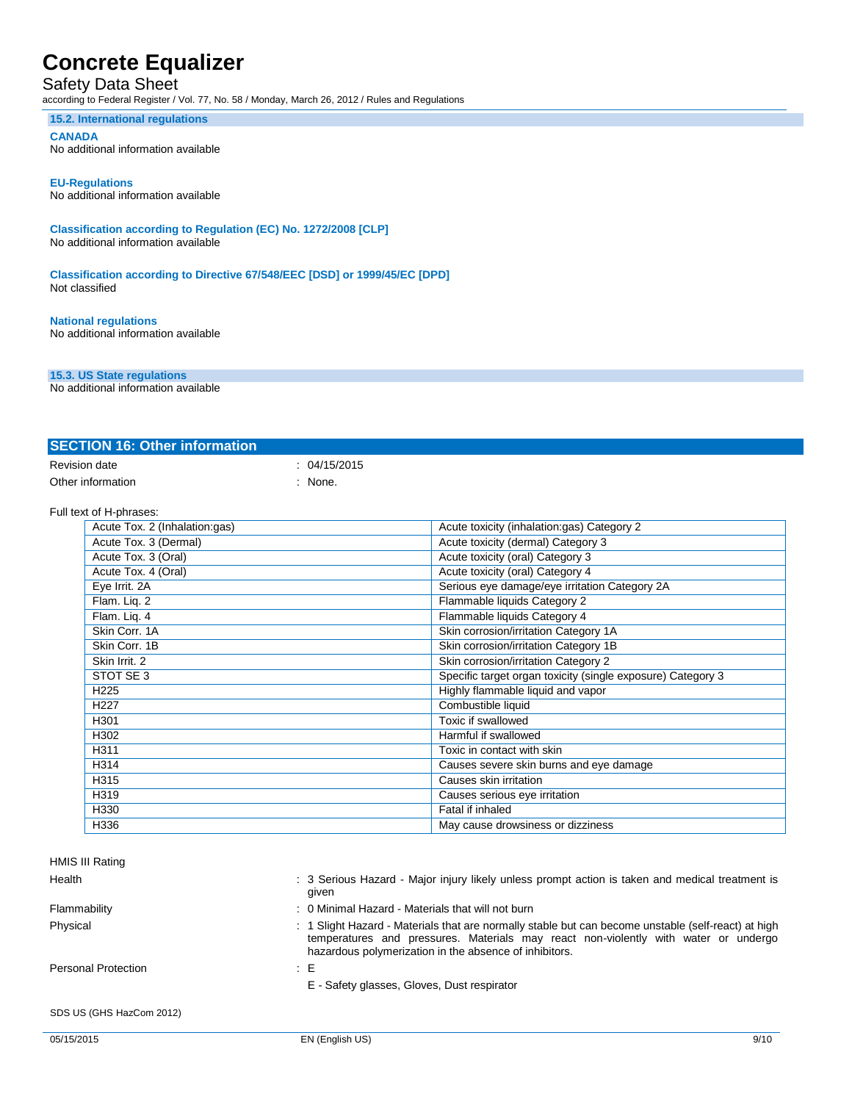### Safety Data Sheet

according to Federal Register / Vol. 77, No. 58 / Monday, March 26, 2012 / Rules and Regulations

#### **15.2. International regulations**

**CANADA**

No additional information available

#### **EU-Regulations**

No additional information available

**Classification according to Regulation (EC) No. 1272/2008 [CLP]** No additional information available

**Classification according to Directive 67/548/EEC [DSD] or 1999/45/EC [DPD]** Not classified

### **National regulations**

No additional information available

#### **15.3. US State regulations**

No additional information available

| <b>SECTION 16: Other information</b> |            |
|--------------------------------------|------------|
| Revision date                        | 04/15/2015 |
| Other information                    | None.      |

#### Full text of H-phrases:

| Acute Tox. 2 (Inhalation:gas) | Acute toxicity (inhalation:gas) Category 2                  |
|-------------------------------|-------------------------------------------------------------|
| Acute Tox. 3 (Dermal)         | Acute toxicity (dermal) Category 3                          |
| Acute Tox. 3 (Oral)           | Acute toxicity (oral) Category 3                            |
| Acute Tox. 4 (Oral)           | Acute toxicity (oral) Category 4                            |
| Eye Irrit. 2A                 | Serious eye damage/eye irritation Category 2A               |
| Flam. Lig. 2                  | Flammable liquids Category 2                                |
| Flam. Lig. 4                  | Flammable liquids Category 4                                |
| Skin Corr. 1A                 | Skin corrosion/irritation Category 1A                       |
| Skin Corr. 1B                 | Skin corrosion/irritation Category 1B                       |
| Skin Irrit. 2                 | Skin corrosion/irritation Category 2                        |
| STOT SE 3                     | Specific target organ toxicity (single exposure) Category 3 |
| H <sub>225</sub>              | Highly flammable liquid and vapor                           |
| H <sub>227</sub>              | Combustible liquid                                          |
| H301                          | Toxic if swallowed                                          |
| H302                          | Harmful if swallowed                                        |
| H311                          | Toxic in contact with skin                                  |
| H314                          | Causes severe skin burns and eye damage                     |
| H315                          | Causes skin irritation                                      |
| H319                          | Causes serious eye irritation                               |
| H330                          | Fatal if inhaled                                            |
| H336                          | May cause drowsiness or dizziness                           |

| HMIS III Rating          |                                                                                                                                                                                                                                                      |
|--------------------------|------------------------------------------------------------------------------------------------------------------------------------------------------------------------------------------------------------------------------------------------------|
| Health                   | : 3 Serious Hazard - Major injury likely unless prompt action is taken and medical treatment is<br>given                                                                                                                                             |
| Flammability             | : 0 Minimal Hazard - Materials that will not burn                                                                                                                                                                                                    |
| Physical                 | : 1 Slight Hazard - Materials that are normally stable but can become unstable (self-react) at high<br>temperatures and pressures. Materials may react non-violently with water or undergo<br>hazardous polymerization in the absence of inhibitors. |
| Personal Protection      | : E                                                                                                                                                                                                                                                  |
|                          | E - Safety glasses, Gloves, Dust respirator                                                                                                                                                                                                          |
| SDS US (GHS HazCom 2012) |                                                                                                                                                                                                                                                      |
| 05/15/2015               | 9/10<br>EN (English US)                                                                                                                                                                                                                              |